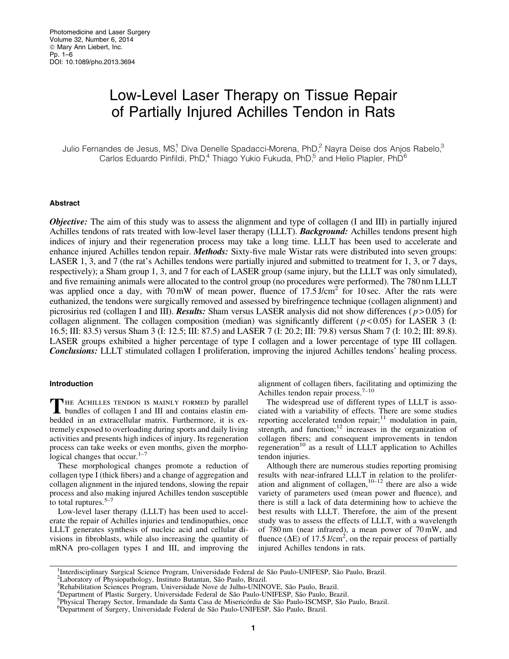# Low-Level Laser Therapy on Tissue Repair of Partially Injured Achilles Tendon in Rats

Julio Fernandes de Jesus, MS,<sup>1</sup> Diva Denelle Spadacci-Morena, PhD,<sup>2</sup> Nayra Deise dos Anjos Rabelo,<sup>3</sup> Carlos Eduardo Pinfildi, PhD,<sup>4</sup> Thiago Yukio Fukuda, PhD,<sup>5</sup> and Helio Plapler, PhD<sup>6</sup>

#### Abstract

**Objective:** The aim of this study was to assess the alignment and type of collagen (I and III) in partially injured Achilles tendons of rats treated with low-level laser therapy (LLLT). **Background:** Achilles tendons present high indices of injury and their regeneration process may take a long time. LLLT has been used to accelerate and enhance injured Achilles tendon repair. *Methods*: Sixty-five male Wistar rats were distributed into seven groups: LASER 1, 3, and 7 (the rat's Achilles tendons were partially injured and submitted to treatment for 1, 3, or 7 days, respectively); a Sham group 1, 3, and 7 for each of LASER group (same injury, but the LLLT was only simulated), and five remaining animals were allocated to the control group (no procedures were performed). The 780 nm LLLT was applied once a day, with  $70 \text{ mW}$  of mean power, fluence of  $17.5 \text{ J/cm}^2$  for 10 sec. After the rats were euthanized, the tendons were surgically removed and assessed by birefringence technique (collagen alignment) and picrosirius red (collagen I and III). **Results:** Sham versus LASER analysis did not show differences ( $p > 0.05$ ) for collagen alignment. The collagen composition (median) was significantly different ( $p < 0.05$ ) for LASER 3 (I: 16.5; III: 83.5) versus Sham 3 (I: 12.5; III: 87.5) and LASER 7 (I: 20.2; III: 79.8) versus Sham 7 (I: 10.2; III: 89.8). LASER groups exhibited a higher percentage of type I collagen and a lower percentage of type III collagen. Conclusions: LLLT stimulated collagen I proliferation, improving the injured Achilles tendons' healing process.

#### Introduction

THE ACHILLES TENDON IS MAINLY FORMED by parallel<br>bundles of collagen I and III and contains elastin embedded in an extracellular matrix. Furthermore, it is extremely exposed to overloading during sports and daily living activities and presents high indices of injury. Its regeneration process can take weeks or even months, given the morphological changes that occur.<sup>1–</sup>

These morphological changes promote a reduction of collagen type I (thick fibers) and a change of aggregation and collagen alignment in the injured tendons, slowing the repair process and also making injured Achilles tendon susceptible to total ruptures. $5-7$ 

Low-level laser therapy (LLLT) has been used to accelerate the repair of Achilles injuries and tendinopathies, once LLLT generates synthesis of nucleic acid and cellular divisions in fibroblasts, while also increasing the quantity of mRNA pro-collagen types I and III, and improving the alignment of collagen fibers, facilitating and optimizing the Achilles tendon repair process.7–10

The widespread use of different types of LLLT is associated with a variability of effects. There are some studies reporting accelerated tendon repair; $11$  modulation in pain, strength, and function; $12$  increases in the organization of collagen fibers; and consequent improvements in tendon regeneration<sup>10</sup> as a result of LLLT application to Achilles tendon injuries.

Although there are numerous studies reporting promising results with near-infrared LLLT in relation to the proliferation and alignment of collagen,  $10-12$  there are also a wide variety of parameters used (mean power and fluence), and there is still a lack of data determining how to achieve the best results with LLLT. Therefore, the aim of the present study was to assess the effects of LLLT, with a wavelength of 780 nm (near infrared), a mean power of 70 mW, and fluence ( $\Delta E$ ) of 17.5 J/cm<sup>2</sup>, on the repair process of partially injured Achilles tendons in rats.

<sup>&</sup>lt;sup>1</sup>Interdisciplinary Surgical Science Program, Universidade Federal de São Paulo-UNIFESP, São Paulo, Brazil.<br><sup>2</sup>Lehoratory of Physiopathology, Instituto Butantan, São Paulo, Brazil.

<sup>&</sup>lt;sup>2</sup> Laboratory of Physiopathology, Instituto Butantan, São Paulo, Brazil.

<sup>&</sup>lt;sup>3</sup>Rehabilitation Sciences Program, Universidade Nove de Julho-UNINOVE, São Paulo, Brazil.

<sup>&</sup>lt;sup>4</sup>Department of Plastic Surgery, Universidade Federal de São Paulo-UNIFESP, São Paulo, Brazil.

<sup>&</sup>lt;sup>5</sup>Physical Therapy Sector, Irmandade da Santa Casa de Misericórdia de São Paulo-ISCMSP, São Paulo, Brazil.

<sup>&</sup>lt;sup>6</sup>Department of Surgery, Universidade Federal de São Paulo-UNIFESP, São Paulo, Brazil.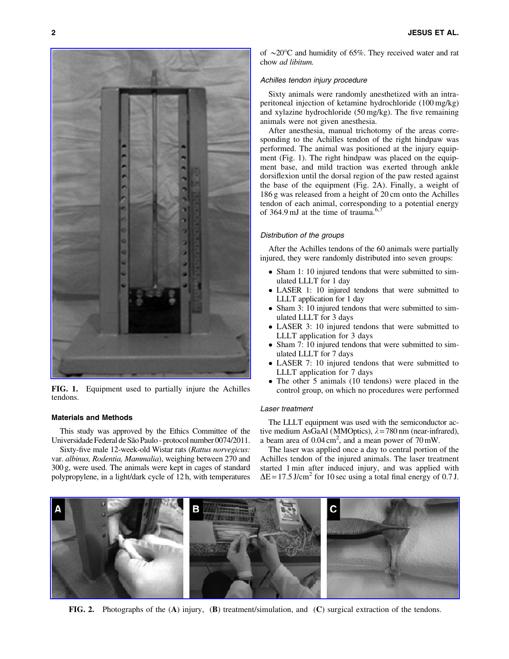

FIG. 1. Equipment used to partially injure the Achilles tendons.

# Materials and Methods

This study was approved by the Ethics Committee of the Universidade Federal de São Paulo - protocol number 0074/2011.

Sixty-five male 12-week-old Wistar rats (*Rattus norvegicus:* var. *albinus, Rodentia, Mammalia*), weighing between 270 and 300 g, were used. The animals were kept in cages of standard polypropylene, in a light/dark cycle of 12 h, with temperatures

of  $\sim$ 20 $\degree$ C and humidity of 65%. They received water and rat chow *ad libitum.*

## Achilles tendon injury procedure

Sixty animals were randomly anesthetized with an intraperitoneal injection of ketamine hydrochloride (100 mg/kg) and xylazine hydrochloride (50 mg/kg). The five remaining animals were not given anesthesia.

After anesthesia, manual trichotomy of the areas corresponding to the Achilles tendon of the right hindpaw was performed. The animal was positioned at the injury equipment (Fig. 1). The right hindpaw was placed on the equipment base, and mild traction was exerted through ankle dorsiflexion until the dorsal region of the paw rested against the base of the equipment (Fig. 2A). Finally, a weight of 186 g was released from a height of 20 cm onto the Achilles tendon of each animal, corresponding to a potential energy of 364.9 mJ at the time of trauma.<sup>6,7</sup>

# Distribution of the groups

After the Achilles tendons of the 60 animals were partially injured, they were randomly distributed into seven groups:

- Sham 1: 10 injured tendons that were submitted to simulated LLLT for 1 day
- LASER 1: 10 injured tendons that were submitted to LLLT application for 1 day
- $\bullet$  Sham 3: 10 injured tendons that were submitted to simulated LLLT for 3 days
- $\bullet$  LASER 3: 10 injured tendons that were submitted to LLLT application for 3 days
- Sham 7: 10 injured tendons that were submitted to simulated LLLT for 7 days
- LASER 7: 10 injured tendons that were submitted to LLLT application for 7 days
- The other 5 animals (10 tendons) were placed in the control group, on which no procedures were performed

# Laser treatment

The LLLT equipment was used with the semiconductor active medium AsGaAl (MMOptics),  $\lambda = 780$  nm (near-infrared), a beam area of  $0.04 \text{ cm}^2$ , and a mean power of  $70 \text{ mW}$ .

The laser was applied once a day to central portion of the Achilles tendon of the injured animals. The laser treatment started 1 min after induced injury, and was applied with  $\Delta E = 17.5$  J/cm<sup>2</sup> for 10 sec using a total final energy of 0.7 J.



FIG. 2. Photographs of the (A) injury, (B) treatment/simulation, and (C) surgical extraction of the tendons.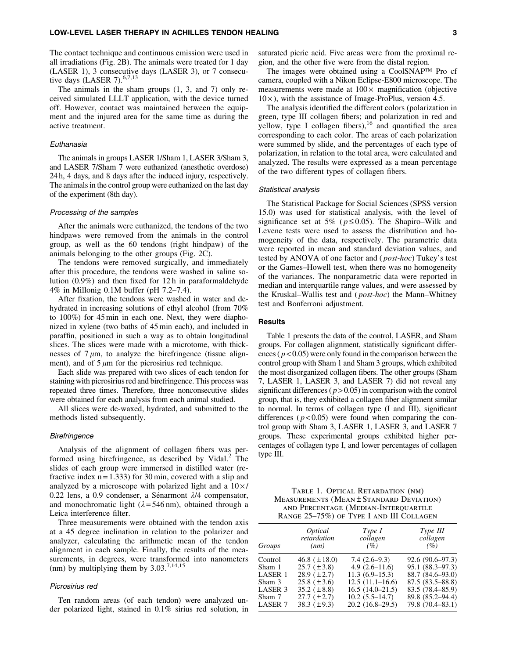#### LOW-LEVEL LASER THERAPY IN ACHILLES TENDON HEALING 3

The contact technique and continuous emission were used in all irradiations (Fig. 2B). The animals were treated for 1 day (LASER 1), 3 consecutive days (LASER 3), or 7 consecutive days (LASER 7). $6,7,13$ 

The animals in the sham groups (1, 3, and 7) only received simulated LLLT application, with the device turned off. However, contact was maintained between the equipment and the injured area for the same time as during the active treatment.

#### Euthanasia

The animals in groups LASER 1/Sham 1, LASER 3/Sham 3, and LASER 7/Sham 7 were euthanized (anesthetic overdose) 24 h, 4 days, and 8 days after the induced injury, respectively. The animals in the control group were euthanized on the last day of the experiment (8th day).

#### Processing of the samples

After the animals were euthanized, the tendons of the two hindpaws were removed from the animals in the control group, as well as the 60 tendons (right hindpaw) of the animals belonging to the other groups (Fig. 2C).

The tendons were removed surgically, and immediately after this procedure, the tendons were washed in saline solution (0.9%) and then fixed for 12 h in paraformaldehyde 4% in Millonig 0.1M buffer (pH 7.2–7.4).

After fixation, the tendons were washed in water and dehydrated in increasing solutions of ethyl alcohol (from 70% to 100%) for 45 min in each one. Next, they were diaphonized in xylene (two baths of 45 min each), and included in paraffin, positioned in such a way as to obtain longitudinal slices. The slices were made with a microtome, with thicknesses of  $7 \mu m$ , to analyze the birefringence (tissue alignment), and of  $5 \mu m$  for the picrosirius red technique.

Each slide was prepared with two slices of each tendon for staining with picrosirius red and birefringence. This process was repeated three times. Therefore, three nonconsecutive slides were obtained for each analysis from each animal studied.

All slices were de-waxed, hydrated, and submitted to the methods listed subsequently.

#### **Birefringence**

Analysis of the alignment of collagen fibers was performed using birefringence, as described by Vidal. $<sup>2</sup>$  The</sup> slides of each group were immersed in distilled water (refractive index  $n = 1.333$  for 30 min, covered with a slip and analyzed by a microscope with polarized light and a  $10 \times l$ 0.22 lens, a 0.9 condenser, a Sénarmont  $\lambda$ /4 compensator, and monochromatic light ( $\lambda = 546$  nm), obtained through a Leica interference filter.

Three measurements were obtained with the tendon axis at a 45 degree inclination in relation to the polarizer and analyzer, calculating the arithmetic mean of the tendon alignment in each sample. Finally, the results of the measurements, in degrees, were transformed into nanometers (nm) by multiplying them by  $3.03^{7,14,15}$ 

## Picrosirius red

Ten random areas (of each tendon) were analyzed under polarized light, stained in 0.1% sirius red solution, in saturated picric acid. Five areas were from the proximal region, and the other five were from the distal region.

The images were obtained using a CoolSNAP<sup>TM</sup> Pro cf camera, coupled with a Nikon Eclipse-E800 microscope. The measurements were made at  $100 \times$  magnification (objective  $10 \times$ ), with the assistance of Image-ProPlus, version 4.5.

The analysis identified the different colors (polarization in green, type III collagen fibers; and polarization in red and yellow, type I collagen fibers), $16$  and quantified the area corresponding to each color. The areas of each polarization were summed by slide, and the percentages of each type of polarization, in relation to the total area, were calculated and analyzed. The results were expressed as a mean percentage of the two different types of collagen fibers.

## Statistical analysis

The Statistical Package for Social Sciences (SPSS version 15.0) was used for statistical analysis, with the level of significance set at 5% ( $p \le 0.05$ ). The Shapiro–Wilk and Levene tests were used to assess the distribution and homogeneity of the data, respectively. The parametric data were reported in mean and standard deviation values, and tested by ANOVA of one factor and ( *post-hoc*) Tukey's test or the Games–Howell test, when there was no homogeneity of the variances. The nonparametric data were reported in median and interquartile range values, and were assessed by the Kruskal–Wallis test and ( *post-hoc*) the Mann–Whitney test and Bonferroni adjustment.

#### Results

Table 1 presents the data of the control, LASER, and Sham groups. For collagen alignment, statistically significant differences ( $p < 0.05$ ) were only found in the comparison between the control group with Sham 1 and Sham 3 groups, which exhibited the most disorganized collagen fibers. The other groups (Sham 7, LASER 1, LASER 3, and LASER 7) did not reveal any significant differences ( $p > 0.05$ ) in comparison with the control group, that is, they exhibited a collagen fiber alignment similar to normal. In terms of collagen type (I and III), significant differences  $(p<0.05)$  were found when comparing the control group with Sham 3, LASER 1, LASER 3, and LASER 7 groups. These experimental groups exhibited higher percentages of collagen type I, and lower percentages of collagen type III.

Table 1. Optical Retardation (nm) MEASUREMENTS (MEAN ± STANDARD DEVIATION) and Percentage (Median-Interquartile Range 25–75%) of Type I and III Collagen

| Groups             | <i>Optical</i>    | Type I            | Type III            |  |
|--------------------|-------------------|-------------------|---------------------|--|
|                    | retardation       | collagen          | collagen            |  |
|                    | (nm)              | (%)               | (%)                 |  |
| Control            | 46.8 $(\pm 18.0)$ | $7.4(2.6-9.3)$    | $92.6(90.6 - 97.3)$ |  |
| Sham 1             | $25.7 (\pm 3.8)$  | $4.9(2.6-11.6)$   | 95.1 (88.3–97.3)    |  |
| LASER 1            | $28.9~(\pm 2.7)$  | $11.3(6.9-15.3)$  | 88.7 (84.6–93.0)    |  |
| Sham 3             | $25.8~(\pm 3.6)$  | $12.5(11.1-16.6)$ | $87.5(83.5 - 88.8)$ |  |
| LASER <sub>3</sub> | $35.2~(\pm 8.8)$  | $16.5(14.0-21.5)$ | 83.5 (78.4–85.9)    |  |
| Sham 7             | $27.7~(\pm 2.7)$  | $10.2(5.5-14.7)$  | 89.8 (85.2–94.4)    |  |
| <b>LASER 7</b>     | $38.3~(\pm 9.3)$  | $20.2(16.8-29.5)$ | 79.8 (70.4-83.1)    |  |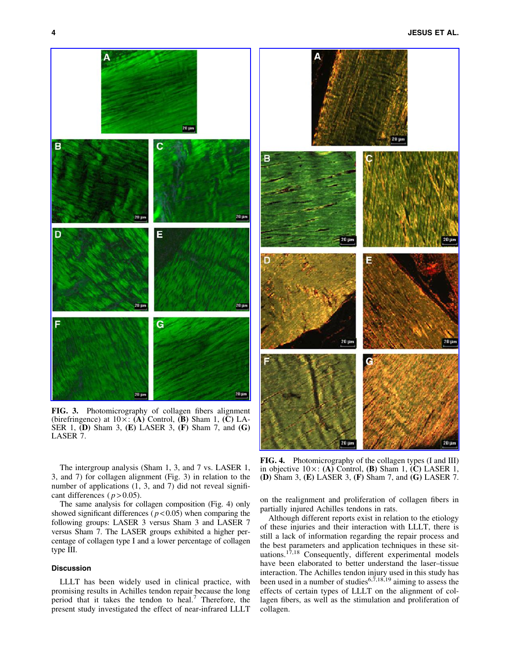



FIG. 3. Photomicrography of collagen fibers alignment (birefringence) at  $10 \times$ : (A) Control, (B) Sham 1, (C) LA-SER 1, (D) Sham 3, (E) LASER 3, (F) Sham 7, and (G) LASER 7.

The intergroup analysis (Sham 1, 3, and 7 vs. LASER 1, 3, and 7) for collagen alignment (Fig. 3) in relation to the number of applications  $(1, 3,$  and  $7)$  did not reveal significant differences ( $p > 0.05$ ).

The same analysis for collagen composition (Fig. 4) only showed significant differences ( $p < 0.05$ ) when comparing the following groups: LASER 3 versus Sham 3 and LASER 7 versus Sham 7. The LASER groups exhibited a higher percentage of collagen type I and a lower percentage of collagen type III.

# Discussion

LLLT has been widely used in clinical practice, with promising results in Achilles tendon repair because the long period that it takes the tendon to heal.<sup>7</sup> Therefore, the present study investigated the effect of near-infrared LLLT

FIG. 4. Photomicrography of the collagen types (I and III) in objective  $10 \times : (A)$  Control, (B) Sham 1, (C) LASER 1, (D) Sham 3, (E) LASER 3, (F) Sham 7, and (G) LASER 7.

on the realignment and proliferation of collagen fibers in partially injured Achilles tendons in rats.

Although different reports exist in relation to the etiology of these injuries and their interaction with LLLT, there is still a lack of information regarding the repair process and the best parameters and application techniques in these situations.<sup>17,18</sup> Consequently, different experimental models have been elaborated to better understand the laser–tissue interaction. The Achilles tendon injury used in this study has been used in a number of studies<sup>6,7,18,19</sup> aiming to assess the effects of certain types of LLLT on the alignment of collagen fibers, as well as the stimulation and proliferation of collagen.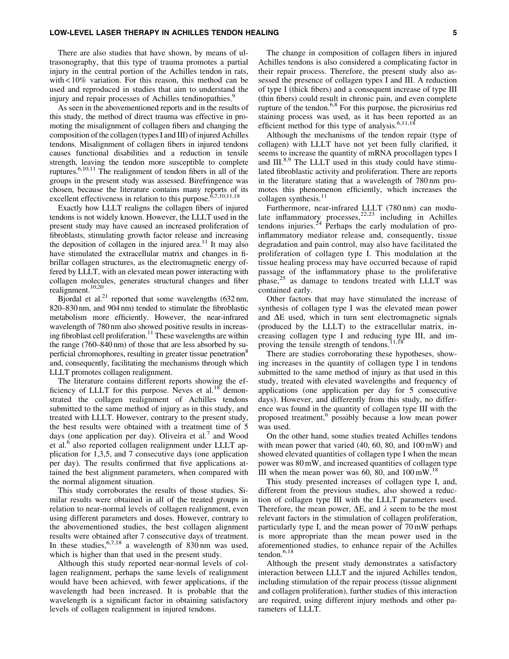### LOW-LEVEL LASER THERAPY IN ACHILLES TENDON HEALING 5

There are also studies that have shown, by means of ultrasonography, that this type of trauma promotes a partial injury in the central portion of the Achilles tendon in rats, with < 10% variation. For this reason, this method can be used and reproduced in studies that aim to understand the injury and repair processes of Achilles tendinopathies.<sup>9</sup>

As seen in the abovementioned reports and in the results of this study, the method of direct trauma was effective in promoting the misalignment of collagen fibers and changing the composition of the collagen (types I and III) of injured Achilles tendons. Misalignment of collagen fibers in injured tendons causes functional disabilities and a reduction in tensile strength, leaving the tendon more susceptible to complete ruptures.<sup>6,10,11</sup> The realignment of tendon fibers in all of the groups in the present study was assessed. Birefringence was chosen, because the literature contains many reports of its excellent effectiveness in relation to this purpose.<sup>6,7,10,11,18</sup>

Exactly how LLLT realigns the collagen fibers of injured tendons is not widely known. However, the LLLT used in the present study may have caused an increased proliferation of fibroblasts, stimulating growth factor release and increasing the deposition of collagen in the injured area.<sup>11</sup> It may also have stimulated the extracellular matrix and changes in fibrillar collagen structures, as the electromagnetic energy offered by LLLT, with an elevated mean power interacting with collagen molecules, generates structural changes and fiber realignment.10,20

Bjordal et al.<sup>21</sup> reported that some wavelengths  $(632 \text{ nm},$ 820–830 nm, and 904 nm) tended to stimulate the fibroblastic metabolism more efficiently. However, the near-infrared wavelength of 780 nm also showed positive results in increasing fibroblast cell proliferation.<sup>11</sup> These wavelengths are within the range (760–840 nm) of those that are less absorbed by superficial chromophores, resulting in greater tissue penetration<sup>8</sup> and, consequently, facilitating the mechanisms through which LLLT promotes collagen realignment.

The literature contains different reports showing the efficiency of LLLT for this purpose. Neves et al. $18^{\circ}$  demonstrated the collagen realignment of Achilles tendons submitted to the same method of injury as in this study, and treated with LLLT. However, contrary to the present study, the best results were obtained with a treatment time of 5 days (one application per day). Oliveira et al. $\prime$  and Wood et al.<sup>6</sup> also reported collagen realignment under LLLT application for 1,3,5, and 7 consecutive days (one application per day). The results confirmed that five applications attained the best alignment parameters, when compared with the normal alignment situation.

This study corroborates the results of those studies. Similar results were obtained in all of the treated groups in relation to near-normal levels of collagen realignment, even using different parameters and doses. However, contrary to the abovementioned studies, the best collagen alignment results were obtained after 7 consecutive days of treatment. In these studies,  $6,7,18$  a wavelength of 830 nm was used, which is higher than that used in the present study.

Although this study reported near-normal levels of collagen realignment, perhaps the same levels of realignment would have been achieved, with fewer applications, if the wavelength had been increased. It is probable that the wavelength is a significant factor in obtaining satisfactory levels of collagen realignment in injured tendons.

The change in composition of collagen fibers in injured Achilles tendons is also considered a complicating factor in their repair process. Therefore, the present study also assessed the presence of collagen types I and III. A reduction of type I (thick fibers) and a consequent increase of type III (thin fibers) could result in chronic pain, and even complete rupture of the tendon.<sup>6,8</sup> For this purpose, the picrosirius red staining process was used, as it has been reported as an efficient method for this type of analysis. $6,11,18$ 

Although the mechanisms of the tendon repair (type of collagen) with LLLT have not yet been fully clarified, it seems to increase the quantity of mRNA procollagen types I and  $III.^{8,9}$  The LLLT used in this study could have stimulated fibroblastic activity and proliferation. There are reports in the literature stating that a wavelength of 780 nm promotes this phenomenon efficiently, which increases the collagen synthesis. $<sup>11</sup>$ </sup>

Furthermore, near-infrared LLLT (780 nm) can modulate inflammatory processes,  $22,23$  including in Achilles tendons injuries. $^{24}$  Perhaps the early modulation of proinflammatory mediator release and, consequently, tissue degradation and pain control, may also have facilitated the proliferation of collagen type I. This modulation at the tissue healing process may have occurred because of rapid passage of the inflammatory phase to the proliferative phase,<sup>25</sup> as damage to tendons treated with LLLT was contained early.

Other factors that may have stimulated the increase of synthesis of collagen type I was the elevated mean power and  $\Delta E$  used, which in turn sent electromagnetic signals (produced by the LLLT) to the extracellular matrix, increasing collagen type I and reducing type III, and improving the tensile strength of tendons.<sup>11,1</sup>

There are studies corroborating these hypotheses, showing increases in the quantity of collagen type I in tendons submitted to the same method of injury as that used in this study, treated with elevated wavelengths and frequency of applications (one application per day for 5 consecutive days). However, and differently from this study, no difference was found in the quantity of collagen type III with the proposed treatment,<sup>6</sup> possibly because a low mean power was used.

On the other hand, some studies treated Achilles tendons with mean power that varied (40, 60, 80, and 100 mW) and showed elevated quantities of collagen type I when the mean power was 80 mW, and increased quantities of collagen type III when the mean power was 60, 80, and  $100 \text{ mW}$ .<sup>18</sup>

This study presented increases of collagen type I, and, different from the previous studies, also showed a reduction of collagen type III with the LLLT parameters used. Therefore, the mean power,  $\Delta E$ , and  $\lambda$  seem to be the most relevant factors in the stimulation of collagen proliferation, particularly type I, and the mean power of 70 mW perhaps is more appropriate than the mean power used in the aforementioned studies, to enhance repair of the Achilles tendon.<sup>6,18</sup>

Although the present study demonstrates a satisfactory interaction between LLLT and the injured Achilles tendon, including stimulation of the repair process (tissue alignment and collagen proliferation), further studies of this interaction are required, using different injury methods and other parameters of LLLT.